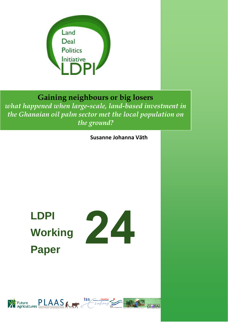

# **Gaining neighbours or big losers**

*what happened when large-scale, land-based investment in the Ghanaian oil palm sector met the local population on the ground?*

**Susanne Johanna Väth**

# **LDPI Working Paper**



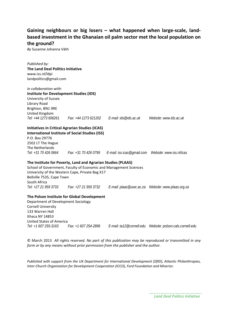## **Gaining neighbours or big losers – what happened when large‐scale, land‐ based investment in the Ghanaian oil palm sector met the local population on the ground?**

*By* Susanne Johanna Väth

| Published by:                                  |                                                                     |                                                                                               |                        |
|------------------------------------------------|---------------------------------------------------------------------|-----------------------------------------------------------------------------------------------|------------------------|
| <b>The Land Deal Politics Initiative</b>       |                                                                     |                                                                                               |                        |
| www.iss.nl/ldpi                                |                                                                     |                                                                                               |                        |
| landpolitics@gmail.com                         |                                                                     |                                                                                               |                        |
| in collaboration with:                         |                                                                     |                                                                                               |                        |
| <b>Institute for Development Studies (IDS)</b> |                                                                     |                                                                                               |                        |
| University of Sussex                           |                                                                     |                                                                                               |                        |
| Library Road                                   |                                                                     |                                                                                               |                        |
| Brighton, BN1 9RE                              |                                                                     |                                                                                               |                        |
| United Kingdom                                 |                                                                     |                                                                                               |                        |
|                                                | Tel: +44 1273 606261   Fax: +44 1273 621202   E-mail: ids@ids.ac.uk |                                                                                               | Website: www.ids.ac.uk |
|                                                | <b>Initiatives in Critical Agrarian Studies (ICAS)</b>              |                                                                                               |                        |
|                                                | <b>International Institute of Social Studies (ISS)</b>              |                                                                                               |                        |
| P.O. Box 29776                                 |                                                                     |                                                                                               |                        |
| 2502 LT The Hague                              |                                                                     |                                                                                               |                        |
| The Netherlands                                |                                                                     |                                                                                               |                        |
|                                                |                                                                     | Tel: +31 70 426 0664 Fax: +31 70 426 0799 E-mail: iss.icas@qmail.com Website: www.iss.nl/icas |                        |
|                                                | The Institute for Poverty, Land and Agrarian Studies (PLAAS)        |                                                                                               |                        |
|                                                | School of Government, Faculty of Economic and Management Sciences   |                                                                                               |                        |
|                                                | University of the Western Cape, Private Bag X17                     |                                                                                               |                        |
| Bellville 7535, Cape Town                      |                                                                     |                                                                                               |                        |
| South Africa                                   |                                                                     |                                                                                               |                        |
|                                                | Tel: +27 21 959 3733 Fax: +27 21 959 3732                           |                                                                                               |                        |
|                                                | The Polson Institute for Global Development                         |                                                                                               |                        |
| Department of Development Sociology            |                                                                     |                                                                                               |                        |
| <b>Cornell University</b>                      |                                                                     |                                                                                               |                        |
| 133 Warren Hall                                |                                                                     |                                                                                               |                        |
| Ithaca NY 14853                                |                                                                     |                                                                                               |                        |
| <b>United States of America</b>                |                                                                     |                                                                                               |                        |
| Tel: +1 607 255-3163                           | Fax: +1 607 254-2896                                                |                                                                                               |                        |

© March 2013 *All rights reserved. No part of this publication may be reproduced or transmitted in any form or by any means without prior permission from the publisher and the author.*

*Published with support from the UK Department for International Development (DfID), Atlantic Philanthropies, Inter‐Church Organization for Development Cooperation (ICCO), Ford Foundation and Miserior.*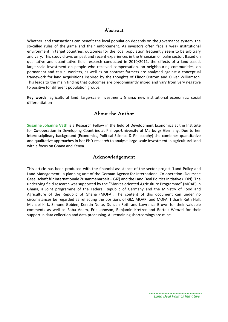## Abstract

Whether land transactions can benefit the local population depends on the governance system, the so-called rules of the game and their enforcement. As investors often face a weak institutional environment in target countries, outcomes for the local population frequently seem to be arbitrary and vary. This study draws on past and recent experiences in the Ghanaian oil palm sector. Based on qualitative and quantitative field research conducted in 2010/2011, the effects of a land‐based, large-scale investment on people who received compensation, on neighbouring communities, on permanent and casual workers, as well as on contract farmers are analysed against a conceptual framework for land acquisitions inspired by the thoughts of Elinor Ostrom and Oliver Williamson. This leads to the main finding that outcomes are predominantly mixed and vary from very negative to positive for different population groups.

**Key words:** agricultural land; large‐scale investment; Ghana; new institutional economics; social differentiation

## About the Author

**Susanne Johanna Väth** is a Research Fellow in the field of Development Economics at the Institute for Co-operation in Developing Countries at Philipps-University of Marburg/ Germany. Due to her interdisciplinary background (Economics, Political Science & Philosophy) she combines quantitative and qualitative approaches in her PhD-research to analyse large-scale investment in agricultural land with a focus on Ghana and Kenya.

## Acknowledgement

This article has been produced with the financial assistance of the sector project 'Land Policy and Land Management', a planning unit of the German Agency for International Co‐operation (Deutsche Gesellschaft für Internationale Zusammenarbeit – GIZ) and the Land Deal Politics Initiative (LDPI). The underlying field research was supported by the "Market‐oriented Agriculture Programme" (MOAP) in Ghana, a joint programme of the Federal Republic of Germany and the Ministry of Food and Agriculture of the Republic of Ghana (MOFA). The content of this document can under no circumstances be regarded as reflecting the positions of GIZ, MOAP, and MOFA. I thank Ruth Hall, Michael Kirk, Simone Gobien, Kerstin Nolte, Duncan Roth and Lawrence Brown for their valuable comments as well as Baba Adam, Eric Johnson, Benjamin Kretzer and Bertolt Wenzel for their support in data collection and data processing. All remaining shortcomings are mine.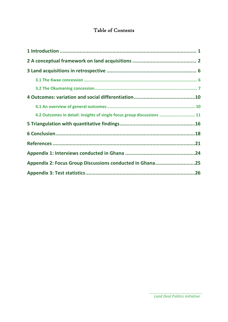## Table of Contents

| 4.2 Outcomes in detail: insights of single focus group discussions  11 |  |
|------------------------------------------------------------------------|--|
|                                                                        |  |
|                                                                        |  |
|                                                                        |  |
|                                                                        |  |
| Appendix 2: Focus Group Discussions conducted in Ghana25               |  |
|                                                                        |  |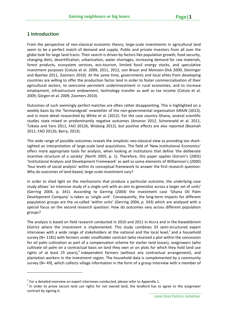## **1 Introduction**

From the perspective of neo-classical economic theory, large-scale investments in agricultural land seem to be a perfect match of demand and supply. Public and private investors from all over the globe look for large land tracts. Their search is driven by factors like population growth, food security, changing diets, desertification, urbanisation, water shortages, increasing demand for raw materials, forest products, ecosystem services, eco-tourism, limited fossil energy stocks, and speculative investment purposes (Cotula et al. 2009, 2011, 2012, von Braun and Meinzen‐Dick 2009, Deininger and Byerlee 2011, Zoomers 2010). At the same time, governments and local elites from developing countries are willing to offer the production factor land in order to foster commercialisation of their agricultural sectors, to overcome persistent underinvestment in rural economies, and to increase employment, infrastructure endowment, technology transfer as well as tax income (Cotula et al. 2009, Görgen et al. 2009, Zoomers 2010).

Outcomes of such seemingly perfect matches are often rather disappointing. This is highlighted on a weekly basis by the 'farmlandgrab' newsletter of the non-governmental organisation GRAIN (2013), and in more detail researched by White et al. (2012). For the case country Ghana, several scientific studies state mixed or predominantly negative outcomes (Amanor 2012, Schoneveld et al. 2011, Tzikata and Yaro 2011, FAO 2012b, Wisborg 2012), but positive effects are also reported (Boamah 2011, FAO 2012b, Berry, 2013).

This wide range of possible outcomes reveals the simplistic neo-classical view as providing too shortsighted an interpretation of large-scale land acquisitions. The field of 'New Institutional Economics' offers more appropriate tools for analysis, when looking at institutions that define 'the deliberate incentive structure of a society' (North 2005, p. 1). Therefore, this paper applies Ostrom's (2005) 'Institutional Analysis and Development Framework' as well as some elements of Williamson's (2000) 'four levels of social analysis' within its conceptual framework to answer the first research question: Why do outcomes of land‐based, large‐scale investment vary?

In order to shed light on the mechanisms that produce a particular outcome, the underlying case study allows 'an intensive study of a single unit with an aim to generalize across a larger set of units' (Gerring 2004, p. 341). According to Gerring (2004) the investment case 'Ghana Oil Palm Development Company' is taken as 'single unit'. Consequently, the long-term impacts for different population groups are the so-called 'within units' (Gerring 2004, p. 343) which are analysed with a special focus on the second research question: How do outcomes vary across different population groups?

The analysis is based on field research conducted in 2010 and 2011 in Accra and in the Kwaebibirem District where the investment is implemented. This study combines 33 semi‐structured expert interviews with a wide range of stakeholders at the national and the local level, $1$  and a household survey (N= 1181) with farmers under smallholder contract (who received a plot within the concession for oil palm cultivation as part of a compensation scheme for earlier land losses), outgrowers (who cultivate oil palm on a contractual basis on land they own or on plots for which they hold land use rights of at least 25 years),<sup>2</sup> independent farmers (without any contractual arrangement), and plantation workers in the investment region. The household data is complemented by a community survey (N= 49), which collects village information in the form of a group interview with a member of

<sup>&</sup>lt;sup>1</sup> For a detailed overview on expert interviews conducted, please refer to Appendix 1.<br><sup>2</sup> In order to prove secure land use rights for not owned land, the landlord has to agree to the outgrower contract by signing it.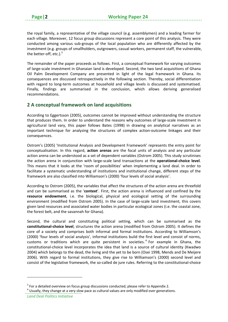the royal family, a representative of the village council (e.g. assemblymen) and a leading farmer for each village. Moreover, 12 focus group discussions represent a core point of this analysis. They were conducted among various sub‐groups of the local population who are differently affected by the investment (e.g. groups of smallholders, outgrowers, casual workers, permanent staff, the vulnerable, the better-off, etc.). $3$ 

The remainder of the paper proceeds as follows. First, a conceptual framework for varying outcomes of large‐scale investment in Ghanaian land is developed. Second, the two land acquisitions of Ghana Oil Palm Development Company are presented in light of the legal framework in Ghana. Its consequences are discussed retrospectively in the following section. Thereby, social differentiation with regard to long-term outcomes at household and village levels is discussed and systematised. Finally, findings are summarised in the conclusion, which allows deriving generalised recommendations.

## **2 A conceptual framework on land acquisitions**

According to Eggertsson (2005), outcomes cannot be improved without understanding the structure that produces them. In order to understand the reasons why outcomes of large-scale investment in agricultural land vary, this paper follows Bates (1998) in drawing on analytical narratives as an important technique for analysing the structures of complex action-outcome linkages and their consequences.

Ostrom's (2005) 'Institutional Analysis and Development Framework' represents the entry point for conceptualisation. In this regard, **action arenas** are the focal units of analysis and any particular action arena can be understood as a set of dependent variables (Ostrom 2005). This study scrutinises the action arena in conjunction with large‐scale land transactions at the **operational‐choice level**. This means that it looks at the 'room of possibilities' when implementing a land deal. In order to facilitate a systematic understanding of institutions and institutional change, different steps of the framework are also classified into Williamson's (2000) 'four levels of social analysis'.

According to Ostrom (2005), the variables that affect the structures of the action arena are threefold and can be summarised as the '**context**'. First, the action arena is influenced and confined by the **resource endowment**, i.e. the biological, physical and ecological setting of the surrounding environment (modified from Ostrom 2005). In the case of large‐scale land investment, this covers given land resources and associated water bodies in particular ecological zones (i.e. the coastal zone, the forest belt, and the savannah for Ghana).

Second, the cultural and constituting political setting, which can be summarised as the **constitutional‐choice level**, structures the action arena (modified from Ostrom 2005). It defines the core of a society and comprises both informal and formal institutions. According to Williamson's (2000) 'four levels of social analysis', informal institutions build the first level and consist of norms, customs or traditions which are quite persistent in societies.<sup>4</sup> For example in Ghana, the constitutional‐choice level incorporates the idea that land is a source of cultural identity (Kwadwo 2004) which belongs to the dead, the living and the yet to be born (Osei 1998, Mends and De Meijere 2006). With regard to formal institutions, they give rise to Williamson's (2000) second level and consist of the legislative framework, the so-called de jure rules. Referring to the constitutional-choice

 $3$  For a detailed overview on focus group discussions conducted, please refer to Appendix 2.<br> $4$  Usually, they change at a very slow pace as cultural values are only modified over generations.

*Land Deal Politics Initiative*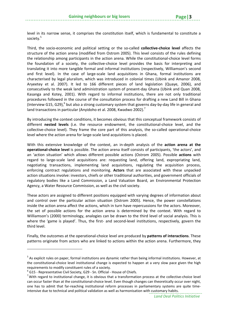level in its narrow sense, it comprises the constitution itself, which is fundamental to constitute a society.<sup>5</sup>

Third, the socio‐economic and political setting or the so‐called **collective‐choice level** affects the structure of the action arena (modified from Ostrom 2005). This level consists of the rules defining the relationship among participants in the action arena. While the constitutional‐choice level forms the foundation of a society, the collective‐choice level provides the basis for interpreting and translating it into more tangible formal and informal institutions (respectively, Williamson's second and first level). In the case of large-scale land acquisitions in Ghana, formal institutions are characterised by legal pluralism, which was introduced in colonial times (Ubink and Amanor 2008, Aryeetey et al. 2007). It led to 166 different pieces of land legislation (Quaye, 2006), and consecutively to the weak land administration system of present‐day Ghana (Ubink and Quan 2008, Kasanga and Kotey, 2001). With regard to informal institutions, there are not only traditional procedures followed in the course of the consultation process for drafting a new Land Bill in Ghana (Interview G15, G29),<sup>6</sup> but also a strong customary system that governs day-by-day life in general and land transactions in particular (Anyidoho et al. 2008, Kwadwo 2002).<sup>7</sup>

By introducing the context conditions, it becomes obvious that this conceptual framework consists of different **nested levels** (i.e. the resource endowment, the constitutional‐choice level, and the collective‐choice level). They frame the core part of this analysis, the so‐called operational‐choice level where the action arena for large‐scale land acquisitions is placed.

With this extensive knowledge of the context, an in‐depth analysis of the **action arena at the operational‐choice level** is possible. The action arena itself consists of participants, 'the actors', and an 'action situation' which allows different possible actions (Ostrom 2005). Possible **actions** with regard to large‐scale land acquisitions are: requesting land, offering land, expropriating land, negotiating transactions, implementing land acquisitions, regulating the acquisition process, enforcing contract regulations and monitoring. **Actors** that are associated with these unpacked action situations involve: investors, chiefs or other traditional authorities, and government officials of regulatory bodies like a Land Commission, a Land Valuation Board, an Environmental Protection Agency, a Water Resource Commission, as well as the civil society.

These actors are assigned to different positions equipped with varying degrees of information about and control over the particular action situation (Ostrom 2005). Hence, the power constellations inside the action arena affect the actions, which in turn have repercussions for the actors. Moreover, the set of possible actions for the action arena is determined by the context. With regard to Williamson's (2000) terminology, analogies can be drawn to the third level of social analysis. This is where the 'game is played'. Thus, the first- and second-level institutions, respectively, govern the third level.

Finally, the outcomes at the operational‐choice level are produced by **patterns of interactions**. These patterns originate from actors who are linked to actions within the action arena. Furthermore, they

 $<sup>5</sup>$  As explicit rules on paper, formal institutions are dynamic rather than being informal institutions. However, at</sup> the constitutional‐choice level institutional change is expected to happen at a very slow pace given the high requirements to modify constituent rules of a society.<br>
<sup>6</sup> G15 - Representative Civil Society, G29 - Sn. Official - House of Chiefs.

 $\sigma$ With regard to institutional change, it is obvious that a transformation process at the collective-choice level can occur faster than at the constitutional‐choice level. Even though changes can theoretically occur over night, one has to admit that far-reaching institutional reform processes in parliamentary systems are quite timeintensive due to technical and political validation as well as harmonisation with customary habits.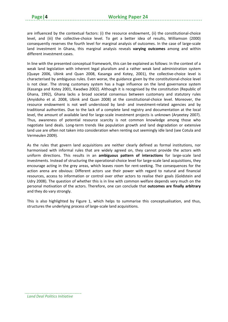are influenced by the contextual factors: (i) the resource endowment, (ii) the constitutional-choice level, and (iii) the collective-choice level. To get a better idea of results, Williamson (2000) consequently reserves the fourth level for marginal analysis of outcomes. In the case of large‐scale land investment in Ghana, this marginal analysis reveals **varying outcomes** among and within different investment cases.

In line with the presented conceptual framework, this can be explained as follows: In the context of a weak land legislation with inherent legal pluralism and a rather weak land administration system (Quaye 2006, Ubink and Quan 2008, Kasanga and Kotey, 2001), the collective‐choice level is characterised by ambiguous rules. Even worse, the guidance given by the constitutional‐choice level is not clear. The strong customary system has a huge influence on the land governance system (Kasanga and Kotey 2001, Kwadwo 2002). Although it is recognised by the constitution (Republic of Ghana, 1992), Ghana lacks a broad societal consensus between customary and statutory rules (Anyidoho et al. 2008, Ubink and Quan 2008) at the constitutional‐choice level. Moreover, the resource endowment is not well understood by land‐ and investment‐related agencies and by traditional authorities. Due to the lack of a complete land registry and documentation at the local level, the amount of available land for large‐scale investment projects is unknown (Aryeetey 2007). Thus, awareness of potential resource scarcity is not common knowledge among those who negotiate land deals. Long‐term trends like population growth and land degradation or extensive land use are often not taken into consideration when renting out seemingly idle land (see Cotula and Vermeulen 2009).

As the rules that govern land acquisitions are neither clearly defined as formal institutions, nor harmonised with informal rules that are widely agreed on, they cannot provide the actors with uniform directions. This results in an **ambiguous pattern of interactions** for large‐scale land investments. Instead of structuring the operational‐choice level for large‐scale land acquisitions, they encourage acting in the grey areas, which leaves room for rent-seeking. The consequences for the action arena are obvious: Different actors use their power with regard to natural and financial resources, access to information or control over other actors to realise their goals (Goldstein and Udry 2008). The question of whether this is in line with common welfare depends very much on the personal motivation of the actors. Therefore, one can conclude that **outcomes are finally arbitrary** and they do vary strongly.

This is also highlighted by Figure 1, which helps to summarise this conceptualisation, and thus, structures the underlying process of large‐scale land acquisitions.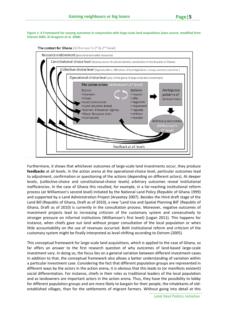Figure 1: A Framework for varying outcomes in conjunction with large-scale land acquisitions (own source, modified from **Ostrom 2005, Di Gregorio et al. 2008)**





Furthermore, it shows that whichever outcomes of large‐scale land investments occur, they produce **feedbacks** at all levels. In the action arena at the operational‐choice level, particular outcomes lead to adjustment, confirmation or questioning of the actions (depending on different actors). At deeper levels, (collective-choice and constitutional-choice levels) arbitrary outcomes reveal institutional inefficiencies. In the case of Ghana this resulted, for example, in a far-reaching institutional reform process (at Williamson's second level) initiated by the National Land Policy (Republic of Ghana 1999) and supported by a Land Administration Project (Aryeetey 2007). Besides the third draft stage of the Land Bill (Republic of Ghana, Draft as of 2010), a new 'Land Use and Spatial Planning Bill' (Republic of Ghana, Draft as of 2010) is currently in the consultation process. Moreover, negative outcomes of investment projects lead to increasing criticism of the customary system and consecutively to stronger pressure on informal institutions (Williamson's first level) (Logan 2011). This happens for instance, when chiefs gave out land without proper consultation of the local population or when little accountability on the use of revenues occurred. Both institutional reform and criticism of the customary system might be finally interpreted as level‐shifting according to Ostrom (2005).

This conceptual framework for large‐scale land acquisitions, which is applied to the case of Ghana, so far offers an answer to the first research question of why outcomes of land‐based large‐scale investment vary. In doing so, the focus lies on a general variation between different investment cases. In addition to that, the conceptual framework also allows a better understanding of variation within a particular investment case. Considering the fact that different population groups are represented in different ways by the actors in the action arena, it is obvious that this leads to (or manifests existent) social differentiation. For instance, chiefs in their roles as traditional leaders of the local population and as landowners are important actors in the action arena. Thus, they have the possibility to lobby for different population groups and are more likely to bargain for their people, the inhabitants of old‐ established villages, than for the settlements of migrant farmers. Without going into detail at this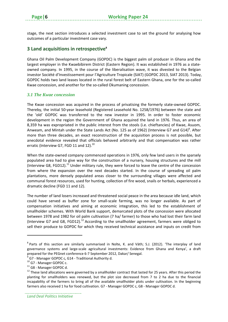stage, the next section introduces a selected investment case to set the ground for analysing how outcomes of a particular investment case vary.

### **3 Land acquisitions in retrospective8**

Ghana Oil Palm Development Company (GOPDC) is the biggest palm oil producer in Ghana and the largest employer in the Kwaebibirem District (Eastern Region). It was established in 1976 as a stateowned company. In 1995, in the course of the liberalisation wave, it was divested to the Belgian investor Société d'Investissement pour l'Agriculture Tropicale (SIAT) (GOPDC 2013, SIAT 2013). Today, GOPDC holds two land leases located in the rural forest belt of Eastern Ghana, one for the so-called Kwae concession, and another for the so-called Okumaning concession.

#### *3.1 The Kwae concession*

The Kwae concession was acquired in the process of privatising the formerly state‐owned GOPDC. Thereby, the initial 50‐year leasehold (Registered Leasehold No. 1258/1976) between the state and the 'old' GOPDC was transferred to the new investor in 1995. In order to foster economic development in the region the Government of Ghana acquired the land in 1976. Thus, an area of 8,359 ha was expropriated in the public interest from the stools (i.e. chieftancies) of Kwae, Asuom, Anweam, and Mintah under the State Lands Act (No. 125 as of 1962) (Interview G7 and G14)<sup>9</sup>. After more than three decades, an exact reconstruction of the acquisition process is not possible, but anecdotal evidence revealed that officials behaved arbitrarily and that compensation was rather erratic (Interview G7, FGD 11 and 12).<sup>10</sup>

When the state-owned company commenced operations in 1976, only few land users in the sparsely populated area had to give way for the construction of a nursery, housing structures and the mill (Interview G8, FGD12).<sup>11</sup> Under military rule, they were forced to leave the centre of the concession from where the expansion over the next decades started. In the course of spreading oil palm plantations, more densely populated areas closer to the surrounding villages were affected and communal forest resources, used for hunting, collection of fire wood, snails or herbals, experienced a dramatic decline (FGD 11 and 12).

The number of land losers increased and threatened social peace in the area because idle land, which could have served as buffer zone for small‐scale farming, was no longer available. As part of compensation initiatives and aiming at economic integration, this led to the establishment of smallholder schemes. With World Bank support, demarcated plots of the concession were allocated between 1978 and 1982 for oil palm cultivation (7 ha/ farmer) to those who had lost their farm land (Interview G7 and G8, FGD12).<sup>12</sup> According to the smallholder agreement, farmers were obliged to sell their produce to GOPDC for which they received technical assistance and inputs on credit from

 $8$  Parts of this section are similarly summarised in Nolte, K. and Väth; S.J. (2012). 'The interplay of land governance systems and large‐scale agricultural investments: Evidence from Ghana and Kenya', a draft

prepared for the PEGnet conference 6-7 September 2012, Dakar/ Senegal.<br><sup>9</sup> G7 - Manager GOPDC c, G14 - Traditional Authority d.<br><sup>10</sup> G7 - Manager GOPDC c.<br><sup>11</sup> G8 - Manager GOPDC d.<br><sup>12</sup> These land allocations were governe planting for smallholders was renewed, but the plot size decreased from 7 to 2 ha due to the financial incapability of the farmers to bring all of the available smallholder plots under cultivation. In the beginning farmers also received 1 ha for food cultivation. G7 - Manager GOPDC c, G8 - Manager GOPDC d.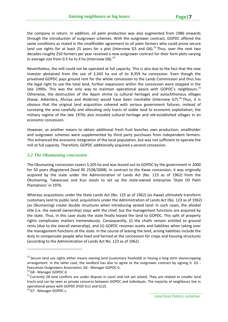the company in return. In addition, oil palm production was also augmented from 1986 onwards through the introduction of outgrower schemes. With the outgrower contract, GOPDC offered the same conditions as stated in the smallholder agreement to oil palm farmers who could prove secure land use rights for at least 25 years for a plot (Interview G5 and G6).<sup>13</sup> Thus, over the next two decades roughly 250 farmers per year received a new outgrower contract for their farm plots varying in average size from 0.5 ha to 4 ha (Interview G8). $^{14}$ 

Nevertheless, the mill could not be operated at full capacity. This is also due to the fact that the new investor abstained from the use of 2,343 ha out of its 8,359 ha concession. Even though the privatised GOPDC pays ground rent for the whole concession to the Lands Commission and thus has the legal right to use the total land, further expansions within the concession were stopped in the late 1990s. This was the only way to maintain operational peace with GOPDC's neighbours.<sup>15</sup> Otherwise, the destruction of the Apam shrine (a cultural heritage) and autochthonous villages (Kwae, Adiembra, Afunya and Atobriso) would have been inevitable (Interview G7).<sup>16</sup> Thus, it is obvious that the original land acquisition cohered with serious government failures: instead of surveying the area carefully and allocating only tracts of viable land to economic exploitation, the military regime of the late 1970s also included cultural heritage and old‐established villages in an economic concession.

However, as another means to obtain additional fresh fruit bunches own production, smallholder and outgrower schemes were supplemented by third party purchases from independent farmers. This enhanced the economic integration of the local population, but was not sufficient to operate the mill at full capacity. Therefore, GOPDC additionally acquired a second concession.

#### *3.2 The Okumaning concession*

The Okumaning concession covers 5,205 ha and was leased out to GOPDC by the government in 2000 for 50 years (Registered Deed RE 2538/2008). In contrast to the Kwae concession, it was originally acquired by the state under the Administration of Lands Act (No. 123 as of 1962) from the Okumaning, Takworase and Kusi stools to set up the state‐owned enterprise 'State Oil Palm Plantations' in 1976.

Whereas acquisitions under the State Lands Act (No. 125 as of 1962) (as Kwae) ultimately transform customary land to public land, acquisitions under the Administration of Lands Act (No. 123 as of 1962) (as Okumaning) create double structures when introducing vested land: In such cases, the allodial title (i.e. the overall ownership) stays with the chief, but the management functions are acquired by the state. Thus, in this case study the state finally leased the land to GOPDC. This split of property rights complicates matters tremendously. Consequently, (i) the chiefs remain entitled to ground rents (due to the overall ownership), and (ii) GOPDC resumes assets and liabilities when taking over the management functions of the state. In the course of leasing the land, arising liabilities include the duty to compensate people who lived and farmed at the concession for crops and housing structures (according to the Administration of Lands Act No. 123 as of 1962).

<sup>&</sup>lt;sup>13</sup> Secure land use rights either means owning land (customary freehold) or having a long term sharecropping arrangement. In the latter case, the landlord has also to agree to the outgrower contract by signing it. G5 ‐ Executives Outgrowers Association, G6 - Manager GOPDC b.<br><sup>14</sup>G8 - Manager GOPDC d.<br><sup>15</sup> Currently 28 land conflicts are under dispute in court and not yet solved. They are related to smaller land

tracts and can be seen as private concerns between GOPDC and individuals. The majority of neighbours live in operational peace with GOPDC (FGD G11 and G12).<br><sup>16</sup>G7 - Manager GOPDC c.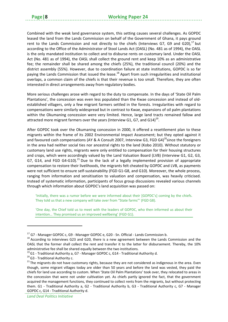Combined with the weak land governance system, this setting causes several challenges. As GOPDC leased the land from the Lands Commission on behalf of the Government of Ghana, it pays ground rent to the Lands Commission and not directly to the chiefs (Interviews G7, G9 and G20), $^{17}$  but according to the Office of the Administrator of Stool Lands Act (OASL) (No. 481 as of 1994), the OASL is the only mandated institution to collect and to disburse rents on customary land. Under the OASL Act (No. 481 as of 1994), the OASL shall collect the ground rent and keep 10% as an administrative fee; the remainder shall be shared among the chiefs (25%), the traditional council (20%) and the district assembly (55%). However, due to coordination failure at state institutions, GOPDC is so far paying the Lands Commission that issued the lease.<sup>18</sup> Apart from such irregularities and institutional overlaps, a common claim of the chiefs is that their revenue is too small. Therefore, they are often interested in direct arrangements away from regulatory bodies.

More serious challenges arose with regard to the duty to compensate. In the days of 'State Oil Palm Plantations', the concession was even less populated than the Kwae concession and instead of old‐ established villagers, only a few migrant farmers settled in the forests. Irregularities with regard to compensations were similarly widespread but in contrast to Kwae, expansions of oil palm plantations within the Okumaning concession were very limited. Hence, large land tracts remained fallow and attracted more migrant farmers over the years (Interview G1, G7, and G14)<sup>19</sup>.

After GOPDC took over the Okumaning concession in 2000, it offered a resettlement plan to these migrants within the frame of its 2002 Environmental Impact Assessment; but they opted against it and favoured cash compensations (AY & A Consult 2007, Interview G3, FGD G4)<sup>20</sup>since the foreigners in the area had neither social ties nor ancestral rights to the land (Kobo 2010). Without statutory or customary land use rights, migrants were only entitled to compensation for their housing structures and crops, which were accordingly valued by the Land Valuation Board (LVB) (Interview G1, G2, G3, G7, G14, and FGD G4-G10).<sup>21</sup> Due to the lack of a legally implemented provision of appropriate compensation to restore their livelihoods, the migrants felt cheated by GOPDC and LVB, as payments were not sufficient to ensure self-sustainability (FGD G1-G8, and G10). Moreover, the whole process, ranging from information and sensitisation to valuation and compensation, was heavily criticised. Instead of systematic information, participants of focus group discussions revealed various channels through which information about GOPDC's land acquisition was passed on:

'Initially, there was a rumor before we were informed about their [GOPDC's] coming by the chiefs. They told us that a new company will take over from "State farms"' (FGD G8).

'One day, the Chief told us to meet with the leaders of GOPDC, who then informed us about their intention… They promised us an improved wellbeing' (FGD G1).

<sup>&</sup>lt;sup>17</sup> G7 - Manager GOPDC c, G9 - Manager GOPDC e, G20 - Sn. Official - Lands Commission b.<br><sup>18</sup> According to interviews G23 and G20, there is a new agreement between the Lands Commission and the OASL that the former shall collect the rent and transfer it to the latter for disbursement. Thereby, the 10% administrative fee shall be shared equally between the two institutions.<br><sup>19</sup> G1 - Traditional Authority a, G7 - Manager GOPDC c, G14 - Traditional Authority d.<br><sup>20</sup> G3 - Traditional Authority c.<br><sup>21</sup> The migrants do not

though, some migrant villages today are older than 50 years and before the land was vested, they paid the chiefs for land use according to custom. When 'State Oil Palm Plantations' took over, they relocated to areas in the concession that were not under cultivation yet. As chiefs partly ignored the fact, that the government acquired the management functions, they continued to collect rents from the migrants, but without protecting them. G1 - Traditional Authority a, G2 - Traditional Authority b, G3 - Traditional Authority c, G7 - Manager GOPDC c, G14 ‐ Traditional Authority d.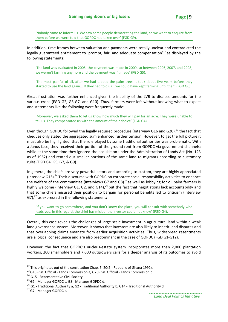'Nobody came to inform us. We saw some people demarcating the land, so we went to enquire from them before we were told that GOPDC had taken over' (FGD G9).

In addition, time frames between valuation and payments were totally unclear and contradicted the legally guaranteed entitlement to 'prompt, fair, and adequate compensation'<sup>22</sup> as displayed by the following statements:

'The land was evaluated in 2005; the payment was made in 2009, so between 2006, 2007, and 2008, we weren't farming anymore and the payment wasn't made' (FGD G5).

'The most painful of all, after we had tapped the palm trees it took about five years before they started to use the land again... If they had told us… we could have kept farming until then' (FGD G6).

Great frustration was further enhanced given the inability of the LVB to disclose amounts for the various crops (FGD G2, G3‐G7, and G10). Thus, farmers were left without knowing what to expect and statements like the following were frequently made:

'Moreover, we asked them to let us know how much they will pay for an acre. They were unable to tell us. They compensated us with the amount of their choice' (FGD G4).

Even though GOPDC followed the legally required procedure (Interview G16 and G20), $^{23}$  the fact that cheques only stated the aggregated sum enhanced further tension. However, to get the full picture it must also be highlighted, that the role played by some traditional authorities was problematic. With a Janus face, they received their portion of the ground rent from GOPDC via government channels; while at the same time they ignored the acquisition under the Administration of Lands Act (No. 123 as of 1962) and rented out smaller portions of the same land to migrants according to customary rules (FGD G4, G5, G7, & G9).

In general, the chiefs are very powerful actors and according to custom, they are highly appreciated (Interview G15).<sup>24</sup> Their discourse with GOPDC on corporate social responsibility activities to enhance the welfare of the communities (Interviews G7 and G8)<sup>25</sup> as well as lobbying for oil palm farmers is highly welcome (Interview G1, G2, and G14), $^{26}$  but the fact that negotiations lack accountability and that some chiefs misused their position to bargain for personal benefits led to criticism (Interview G7), $^{27}$  as expressed in the following statement:

'If you want to go somewhere, and you don't know the place, you will consult with somebody who leads you. In this regard, the chief has misled; the investor could not know' (FGD G4).

Overall, this case reveals the challenges of large‐scale investment in agricultural land within a weak land governance system. Moreover, it shows that investors are also likely to inherit land disputes and that overlapping claims emanate from earlier acquisition activities. Thus, widespread resentments are a logical consequence and are also predominant in the case of GOPDC (FGD G1‐G12).

However, the fact that GOPDC's nucleus‐estate system incorporates more than 2,000 plantation workers, 200 smallholders and 7,000 outgrowers calls for a deeper analysis of its outcomes to avoid

<sup>&</sup>lt;sup>22</sup> This originates out of the constitution Chap. 5, 20(2) (Republic of Ghana 1992).<br><sup>23</sup> G16 - Sn. Official - Lands Commission a, G20 - Sn. Official - Lands Commission b.<br><sup>24</sup> G15 - Representative Civil Society.<br><sup>25</sup> G7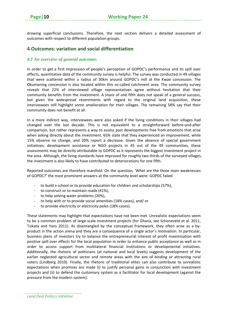drawing superficial conclusions. Therefore, the next section delivers a detailed assessment of outcomes with respect to different population groups.

## **4 Outcomes: variation and social differentiation**

#### *4.1 An overview of general outcomes*

In order to get a first impression of people's perception of GOPDC's performance and its spill over effects, quantitative data of the community survey is helpful. The survey was conducted in 49 villages that were scattered within a radius of 30km around GOPDC's mill at the Kwae concession. The Okumaning concession is also located within this so-called catchment area. The community survey reveals that 22% of interviewed village representatives agree without hesitation that their community benefits from the investment. A share of one fifth does not speak of a general success, but given the widespread resentments with regard to the original land acquisition, these interviewees still highlight some amelioration for their villages. The remaining 58% say that their community does not benefit at all.

In a more indirect way, interviewees were also asked if the living conditions in their villages had changed over the last decade. This is not equivalent to a straightforward before‐and‐after comparison, but rather represents a way to assess past developments free from emotions that arise when asking directly about the investment. 65% state that they experienced an improvement, while 15% observe no change, and 20% report a decrease. Given the absence of special government initiatives, development assistance or NGO projects in 45 out of the 49 communities, these assessments may be directly attributable to GOPDC as it represents the biggest investment project in the area. Although, the living standards have improved for roughly two thirds of the surveyed villages, the investment is also likely to have contributed to deteriorations for one fifth.

Reported outcomes are therefore manifold. On the question, 'What are the three main weaknesses of GOPDC?' the most prominent answers at the community level were: GOPDC failed

- ‐ to build a school or to provide education for children and scholarships (57%),
- ‐ to construct or to maintain roads (41%),
- ‐ to help solving water problems (20%),
- ‐ to help with or to provide social amenities (18% cases), and/ or
- ‐ to provide electricity or electricity poles (18% cases).

These statements may highlight that expectations have not been met. Unrealistic expectations seem to be a common problem of large-scale investment projects (for Ghana, see Schoneveld et al. 2011, Tsikata and Yaro 2011). As disentangled by the conceptual framework, they often arise as a by‐ product in the action arena and they are a consequence of a single actor's motivation. In particular, business plans of investors try to balance the entrepreneurial interest of profit maximisation with positive spill over effects for the local population in order to enhance public acceptance as well as in order to access support from multilateral financial institutions or developmental initiatives. Additionally, the rhetoric of politicians (at national and local levels) suggests development of the earlier neglected agricultural sector and remote areas with the aim of binding or attracting rural voters (Lindberg 2010). Finally, the rhetoric of traditional elites can also contribute to unrealistic expectations when promises are made (i) to justify personal gains in conjunction with investment projects and (ii) to defend the customary system as a facilitator for local development (against the pressure from the modern system).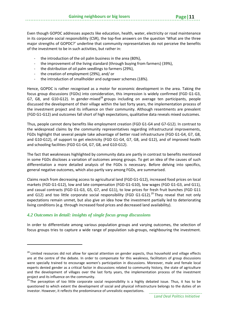Even though GOPDC addresses aspects like education, health, water, electricity or road maintenance in its corporate social responsibility (CSR), the top-five answers on the question 'What are the three major strengths of GOPDC?' underline that community representatives do not perceive the benefits of the investment to be in such activities, but rather in:

- the introduction of the oil palm business in the area (80%),
- ‐ the improvement of the living standard (through buying from farmers) (39%),
- the distribution of oil palm seedlings to farmers (29%),
- ‐ the creation of employment (29%), and/ or
- ‐ the introduction of smallholder and outgrower schemes (18%).

Hence, GOPDC is rather recognised as a motor for economic development in the area. Taking the focus group discussions (FGDs) into consideration, this impression is widely confirmed (FGD G1‐G3, G7, G8, and G10-G12). In gender-mixed<sup>28</sup> groups including on average ten participants, people discussed the development of their village within the last forty years, the implementation process of the investment project and its influence on their community. Although resentments are prevalent (FGD G1‐G12) and outcomes fall short of high expectations, qualitative data reveals mixed outcomes.

Thus, people cannot deny benefits like employment creation (FGD G1‐G4 and G7‐G12). In contrast to the widespread claims by the community representatives regarding infrastructural improvements, FGDs highlight that several people take advantage of better road infrastructure (FGD G1‐G4, G7, G8, and G10-G12), of support to get electricity (FGD G1-G4, G7, G8, and G12), and of improved health and schooling facilities (FGD G1‐G4, G7, G8, and G10‐G12).

The fact that weaknesses highlighted by community data are partly in contrast to benefits mentioned in some FGDs discloses a variation of outcomes among groups. To get an idea of the causes of such differentiation a more detailed analysis of the FGDs is necessary. Before delving into specifics, general negative outcomes, which also partly vary among FGDs, are summarised.

Claims reach from decreasing access to agricultural land (FGD G1‐G12), increased food prices on local markets (FGD G1‐G12), low and late compensation (FGD G1‐G10), low wages (FGD G1‐G3, and G11), and casual contracts (FGD G1‐G3, G5, G7, and G11), to low prices for fresh fruit bunches (FGD G11 and G12) and too little corporate social responsibility (FGD G1-G12).<sup>29</sup> They reveal that not only expectations remain unmet, but also give an idea how the investment partially led to deteriorating living conditions (e.g. through increased food prices and decreased land availability).

#### *4.2 Outcomes in detail: insights of single focus group discussions*

In order to differentiate among various population groups and varying outcomes, the selection of focus groups tries to capture a wide range of population sub‐groups, neighbouring the investment.

<sup>&</sup>lt;sup>28</sup> Limited resources did not allow for special attention on gender aspects, thus household and village effects are at the centre of the debate. In order to compensate for this weakness, facilitators of group discussions were specially trained to encourage women's participation in discussions. Moreover, male and female local experts denied gender as a critical factor in discussions related to community history, the state of agriculture and the development of villages over the last forty years, the implementation process of the investment

project and its influence on the community.<br><sup>29</sup> The perception of too little corporate social responsibility is a highly debated issue. Thus, it has to be questioned to which extent the development of social and physical infrastructure belongs to the duties of an investor. However, it reflects the predominance of unrealistic expectations.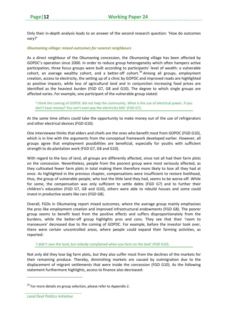Only their in‐depth analysis leads to an answer of the second research question: 'How do outcomes vary?'

#### *Okumaning village: mixed outcomes for nearest neighbours*

As a direct neighbour of the Okumaning concession, the Okumaning village has been affected by GOPDC's operation since 2000. In order to reduce group heterogeneity which often hampers active participation, three focus groups were built according to participants' level of wealth: a vulnerable cohort, an average wealthy cohort, and a better-off cohort.<sup>30</sup> Among all groups, employment creation, access to electricity, the setting up of a clinic by GOPDC and improved roads are highlighted as positive impacts, while loss of agricultural land and in conjunction increasing food prices are identified as the heaviest burden (FGD G7, G8 and G10). The degree to which single groups are affected varies. For example, one participant of the vulnerable group stated:

'I think the coming of GOPDC did not help the community. What is the use of electrical power, if you don't have money? You can't even pay the electricity bills' (FGD G7).

At the same time others could take the opportunity to make money out of the use of refrigerators and other electrical devices (FGD G10).

One interviewee thinks that elders and chiefs are the ones who benefit most from GOPDC (FGD G10), which is in line with the arguments from the conceptual framework developed earlier. However, all groups agree that employment possibilities are beneficial, especially for youths with sufficient strength to do plantation work (FGD G7, G8 and G10).

With regard to the loss of land, all groups are differently affected, since not all had their farm plots on the concession. Nevertheless, people from the poorest group were most seriously affected, as they cultivated fewer farm plots in total making them therefore more likely to lose all they had at once. As highlighted in the previous chapter, compensations were insufficient to restore livelihood, thus, the group of vulnerable people, who lost the little land they had, seems to be worse‐off. While for some, the compensation was only sufficient to settle debts (FGD G7) and to further their children's education (FGD G7, G8 and G10), others were able to rebuild houses and some could invest in productive assets like cars (FGD G8).

Overall, FGDs in Okumaning report mixed outcomes, where the average group mainly emphasises the pros like employment creation and improved infrastructural endowments (FGD G8). The poorer group seems to benefit least from the positive effects and suffers disproportionately from the burdens, while the better‐off group highlights pros and cons. They see that their 'room to manoeuvre' decreased due to the coming of GOPDC. For example, before the investor took over, there were certain uncontrolled areas, where people could expand their farming activities, as reported:

'I didn't own the land, but nobody complained when you farm on the land' (FGD G10).

Not only did they lose big farm plots, but they also suffer most from the declines of the markets for their remaining produce. Thereby, diminishing markets are caused by outmigration due to the displacement of migrant settlements that were inside the concession (FGD G10). As the following statement furthermore highlights, access to finance also decreased:

 $30$  For more details on group selection, please refer to Appendix 2.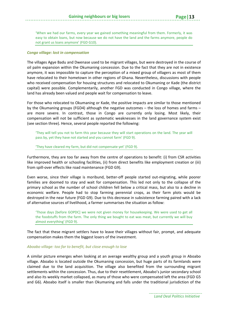'When we had our farms, every year we gained something meaningful from them. Formerly, it was easy to obtain loans, but now because we do not have the land and the farms anymore, people do not grant us loans anymore' (FGD G10).

#### *Congo village: lost in compensation*

The villages Agye Badu and Dwenase used to be migrant villages, but were destroyed in the course of oil palm expansion within the Okumaning concession. Due to the fact that they are not in existence anymore, it was impossible to capture the perception of a mixed group of villagers as most of them have relocated to their hometown in other regions of Ghana. Nevertheless, discussions with people who received compensation for housing structures and relocated to Okumaning or Kade (the district capital) were possible. Complementarily, another FGD was conducted in Congo village, where the land has already been valued and people wait for compensation to leave.

For those who relocated to Okumaning or Kade, the positive impacts are similar to those mentioned by the Okumaning groups (FGD4) although the negative outcomes – the loss of homes and farms – are more severe. In contrast, those in Congo are currently only losing. Most likely, their compensation will not be sufficient as systematic weaknesses in the land governance system exist (see section three). Hence, several people reported the following:

'They will tell you not to farm this year because they will start operations on the land. The year will pass by, yet they have not started and you cannot farm' (FGD 9).

#### 'They have cleared my farm, but did not compensate yet' (FGD 9).

Furthermore, they are too far away from the centre of operations to benefit: (i) from CSR activities like improved health or schooling facilities, (ii) from direct benefits like employment creation or (iii) from spill‐over effects like road maintenance (FGD G9).

Even worse, since their village is moribund, better-off people started out-migrating, while poorer families are doomed to stay and wait for compensation. This led not only to the collapse of the primary school as the number of school children fell below a critical mass, but also to a decline in economic welfare. People had to stop farming perennial crops, as their farm plots would be destroyed in the near future (FGD G9). Due to this decrease in subsistence farming paired with a lack of alternative sources of livelihood, a farmer summarises the situation as follow:

'Those days [before GOPDC] we were not given money for housekeeping. We were used to get all the foodstuffs from the farm. The only thing we bought to eat was meat, but currently we will buy almost everything' (FGD 9).

The fact that these migrant settlers have to leave their villages without fair, prompt, and adequate compensation makes them the biggest losers of the investment.

#### *Aboabo village: too far to benefit, but close enough to lose*

A similar picture emerges when looking at an average wealthy group and a youth group in Aboabo village. Aboabo is located outside the Okumaning concession, but huge parts of its farmlands were claimed due to the land acquisition. The village also benefited from the surrounding migrant settlements within the concession. Thus, due to their resettlement, Aboabo's junior secondary school and also its weekly market collapsed, as many of those who were compensated left the area (FGD G5 and G6). Aboabo itself is smaller than Okumaning and falls under the traditional jurisdiction of the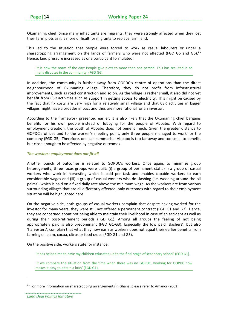Okumaning chief. Since many inhabitants are migrants, they were strongly affected when they lost their farm plots as it is more difficult for migrants to replace farm land.

This led to the situation that people were forced to work as casual labourers or under a sharecropping arrangement on the lands of farmers who were not affected (FGD G5 and G6). $31$ Hence, land pressure increased as one participant formulated:

'It is now the norm of the day: People give plots to more than one person. This has resulted in so many disputes in the community' (FGD G6).

In addition, the community is further away from GOPDC's centre of operations than the direct neighbourhood of Okumaning village. Therefore, they do not profit from infrastructural improvements, such as road construction and so on. As the village is rather small, it also did not yet benefit from CSR activities such as support in getting access to electricity. This might be caused by the fact that fix costs are very high for a relatively small village and that CSR activities in bigger villages might have a broader impact and thus are more rational for an investor.

According to the framework presented earlier, it is also likely that the Okumaning chief bargains benefits for his own people instead of lobbying for the people of Aboabo. With regard to employment creation, the youth of Aboabo does not benefit much. Given the greater distance to GOPDC's offices and to the worker's meeting point, only three people managed to work for the company (FGD G5). Therefore, one can summarise: Aboabo is too far away and too small to benefit, but close enough to be affected by negative outcomes.

#### *The workers: employment does not fit all*

Another bunch of outcomes is related to GOPDC's workers. Once again, to minimize group heterogeneity, three focus groups were built: (i) a group of permanent staff, (ii) a group of casual workers who work in harvesting which is paid per task and enables capable workers to earn considerable wages and (iii) a group of casual workers who do slashing (i.e. weeding around the oil palms), which is paid on a fixed daily rate above the minimum wage. As the workers are from various surrounding villages that are all differently affected, only outcomes with regard to their employment situation will be highlighted here.

On the negative side, both groups of casual workers complain that despite having worked for the investor for many years, they were still not offered a permanent contract (FGD G1 and G3). Hence, they are concerned about not being able to maintain their livelihood in case of an accident as well as during their post-retirement periods (FGD G1). Among all groups the feeling of not being appropriately paid is also predominant (FGD G1-G3). Especially the low paid 'slashers', but also 'harvesters', complain that what they now earn as workers does not equal their earlier benefits from farming oil palm, cocoa, citrus or food crops (FGD G1 and G3).

On the positive side, workers state for instance:

'It has helped me to have my children educated up to the final stage of secondary school' (FGD G1).

'If we compare the situation from the time when there was no GOPDC, working for GOPDC now makes it easy to obtain a loan' (FGD G1).

 $31$  For more information on sharecropping arrangements in Ghana, please refer to Amanor (2001).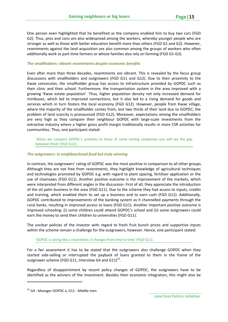One person even highlighted that he benefited as the company enabled him to buy two cars (FGD G2). Thus, pros and cons are also widespread among the workers, whereby younger people who are stronger as well as those with better education benefit more than others (FGD G1 and G2). However,

#### *The smallholders: vibrant resentments despite economic benefits*

Even after more than three decades, resentments are vibrant. This is revealed by the focus group discussions with smallholders and outgrowers (FGD G11 and G12). Due to their proximity to the Kwae concession, the smallholder group has access to infrastructure provided by GOPDC such as their clinic and their school. Furthermore, the transportation system in the area improved with a growing 'Kwae estate population'. Thus, higher population density not only increased demand for minibuses, which led to improved connections, but it also led to a rising demand for goods and services which in turn fosters the local economy (FGD G12). However, people from Kwae village, where the majority of the smallholder comes from, lost two thirds of their land due to GOPDC; the problem of land scarcity is pronounced (FGD G12). Moreover, expectations among the smallholders are very high as they compare their neighbour GOPDC with large-scale investments from the extractive industry where a higher gross profit margin traditionally results in more CSR activities for communities. Thus, one participant stated:

resentments against the land acquisition are also common among the groups of workers who often

additionally work as part‐time farmers or whose families also rely on farming (FGD G1‐G3).

'When we compare GOPDC's activities to those of some mining companies you will see the gap between them' (FGD G12).

#### *The outgrowers: in neighbourhood feud but truly winning*

In contrast, the outgrowers' rating of GOPDC was the most positive in comparison to all other groups. Although they are not free from resentments, they highlight knowledge of agricultural techniques and technologies promoted by GOPDC e.g. with regard to plant spacing, fertilizer application or the use of chainsaws (FGD G11). Another positive outcome is the improvement of the markets, which were interpreted from different angles in the discussion. First of all, they appreciate the introduction of the oil palm business in the area (FGD G11). Due to the scheme they had access to inputs, credits and training, which enabled them to set up a business and to earn cash (FGD G11). Additionally, GOPDC contributed to improvements of the banking system as it channelled payments through the rural banks, resulting in improved access to loans (FGD G11). Another important positive outcome is improved schooling: (i) some children could attend GOPDC's school and (ii) some outgrowers could earn the money to send their children to universities (FGD G11).

The unclear policies of the investor with regard to fresh fruit bunch prices and supportive inputs within the scheme remain a challenge for the outgrowers, however. Hence, one participant stated:

'GOPDC is acting like a chameleon; it changes from time to time' (FGD G11).

For a fair assessment it has to be stated that the outgrowers also challenge GOPDC when they started side‐selling or interrupted the payback of loans granted to them in the frame of the outgrower scheme (FGD G11, Interview G4 and G11) $^{32}$ .

Regardless of disappointment by recent policy changes of GOPDC, the outgrowers have to be identified as the winners of the investment. Besides their economic integration, this might also be

*Land Deal Politics Initiative*

<sup>&</sup>lt;sup>32</sup> G4 - Manager GOPDC a, G11 - Middle men.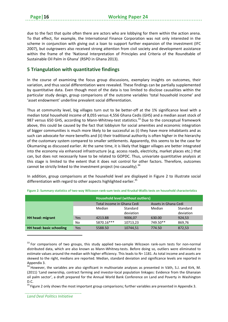due to the fact that quite often there are actors who are lobbying for them within the action arena. To that effect, for example, the International Finance Corporation was not only interested in the scheme in conjunction with giving out a loan to support further expansion of the investment (IFC 2007), but outgrowers also received strong attention from civil society and development assistance within the frame of the 'National Interpretation of Principles and Criteria of the Roundtable of Sustainable Oil Palm in Ghana' (RSPO in Ghana 2013).

## **5 Triangulation with quantitative findings**

In the course of examining the focus group discussions, exemplary insights on outcomes, their variation, and thus social differentiation were revealed. These findings can be partially supplemented by quantitative data. Even though most of the data is too limited to disclose causalities within the particular study design, group comparisons of the outcome variables 'total household income' and 'asset endowment' underline prevalent social differentiation.

Thus at community level, big villages turn out to be better‐off at the 1% significance level with a median total household income of 8,055 versus 4,556 Ghana Cedis (GHS) and a median asset stock of 987 versus 650 GHS, according to Mann-Whitney-test statistics.<sup>33</sup> Due to the conceptual framework above, this could be caused by the fact that lobbyism for social amenities and economic integration of bigger communities is much more likely to be successful as (i) they have more inhabitants and as such can advocate for more benefits and (ii) their traditional authority is often higher in the hierarchy of the customary system compared to smaller settlements. Apparently, this seems to be the case for Okumaning as discussed earlier. At the same time, it is likely that bigger villages are better integrated into the economy via enhanced infrastructure (e.g. access roads, electricity, market places etc.) that can, but does not necessarily have to be related to GOPDC. Thus, univariate quantitative analysis at this stage is limited to the extent that it does not control for other factors. Therefore, outcomes cannot be strictly linked to the investment project (no causality).  $34$ 

In addition, group comparisons at the household level are displayed in Figure 2 to illustrate social differentiation with regard to other aspects highlighted earlier.<sup>35</sup>

|                                 |      | Household level (without outliers) |           |                      |           |  |
|---------------------------------|------|------------------------------------|-----------|----------------------|-----------|--|
|                                 |      | Total income in Ghana Cedi         |           | Assets in Ghana Cedi |           |  |
|                                 |      | Median                             | Standard  | Median               | Standard  |  |
|                                 |      |                                    | deviation |                      | deviation |  |
| HH head: migrant                | Yes. | 4213.88                            | 9006,07   | 630.00               | 924,53    |  |
|                                 | No   | 5870.16***                         | 10713,23  | 749.50**             | 869,76    |  |
| <b>HH head: basic schooling</b> | Yes  | 5588.50                            | 10744,51  | 774.50               | 872,53    |  |

|  |  | Figure 2: Summary statistics of two-way Wilcoxon rank-sum tests and Kruskal-Wallis tests on household characteristics |
|--|--|-----------------------------------------------------------------------------------------------------------------------|
|--|--|-----------------------------------------------------------------------------------------------------------------------|

 $33$  For comparisons of two groups, this study applied two-sample Wilcoxon rank-sum tests for non-normal distributed data, which are also known as Mann‐Whitney‐tests. Before doing so, outliers were eliminated to estimate values around the median with higher efficiency. This leads to N= 1181. As total income and assets are skewed to the right, medians are reported. Median, standard deviation and significance levels are reported in

Appendix 3.<br> $34$  However, the variables are also significant in multivariate analyses as presented in Väth, S.J. and Kirk, M. (2011) 'Land ownership, contract farming and investor‐local population linkages: Evidence from the Ghanaian oil palm sector', a draft prepared for the Annual World Bank Conference on Land and Poverty in Washington D.C.<br><sup>35</sup> Figure 2 only shows the most important group comparisons; further variables are presented in Appendix 3.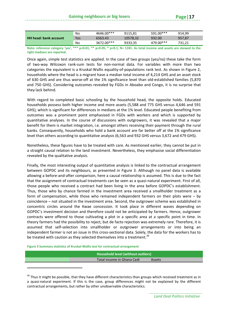| <b>HH head: bank account</b> | No  | 4646.00*** | 9115.81  | 591.00*** | 914.99 |
|------------------------------|-----|------------|----------|-----------|--------|
|                              | Yes | 6563.43    | 10578.32 | 932.00    | 957.87 |
|                              | No  | 3672.00*** | 9333,35  | 479.00*** | 731.21 |

Note: reference category 'yes', \*\*\* p<0.01, \*\* p<0.05, \* p<0.1, N= 1181. As total income and assets are skewed to the **right medians are reported.** 

Once again, simple test statistics are applied. In the case of two groups (yes/no) these take the form of two‐way Wilcoxon rank‐sum tests for non‐normal data. For variables with more than two categories the equivalent is a Kruskal‐Wallis equality‐of‐populations rank test. As shown in Figure 2, households where the head is a migrant have a median total income of 4,214 GHS and an asset stock of 630 GHS and are thus worse‐off at the 1% significance level than old‐established families (5,870 and 750 GHS). Considering outcomes revealed by FGDs in Aboabo and Congo, it is no surprise that they lack behind.

With regard to completed basic schooling by the household head, the opposite holds. Educated households possess both higher income and more assets (5,588 and 775 GHS versus 4,646 and 591 GHS), which is significant for differences in medians at the 1% level. Educated people benefiting from outcomes was a prominent point emphasised in FGDs with workers and which is supported by quantitative analyses. In the course of discussions with outgrowers, it was revealed that a major benefit for them is market integration, i.e. amongst others receiving their payment through the rural banks. Consequently, households who hold a bank account are far better off at the 1% significance level than others according to quantitative analysis (6,563 and 932 GHS versus 3,672 and 479 GHS).

Nonetheless, these figures have to be treated with care. As mentioned earlier, they cannot be put in a straight causal relation to the land investment. Nevertheless, they emphasise social differentiation revealed by the qualitative analysis.

Finally, the most interesting output of quantitative analysis is linked to the contractual arrangement between GOPDC and its neighbours, as presented in Figure 3. Although no panel data is available allowing a before‐and‐after comparison, here a causal relationship is assumed. This is due to the fact that the assignment of contractual treatments can be seen as a quasi-natural experiment. First of all, those people who received a contract had been living in the area before GOPDC's establishment. Thus, those who by chance farmed in the investment area received a smallholder treatment as a form of compensation, while those who remained independent farmers on their plots were – by coincidence – not situated in the investment area. Second, the outgrower scheme was established in concentric circles around the Kwae concession. It took place in different waves depending on GOPDC's investment decision and therefore could not be anticipated by farmers. Hence, outgrower contracts were offered to those cultivating a plot in a specific area at a specific point in time. In theory farmers had the possibility to reject, but de facto rejection was extremely rare. Therefore, it is assumed that self‐selection into smallholder or outgrower arrangements or into being an independent farmer is not an issue in this cross‐sectional data. Solely, the data for the workers has to be treated with caution as they selected themselves into a treatment.<sup>36</sup>

**Figure 3 Summary statistics of Kruskal‐Wallis test for contractual arrangement**

**Household level (without outliers) Total income in Ghana Cedi** Assets

<sup>&</sup>lt;sup>36</sup> Thus it might be possible, that they have different characteristics than groups which received treatment as in a quasi-natural experiment. If this is the case, group differences might not be explained by the different contractual arrangements, but rather by other unobservable characteristics.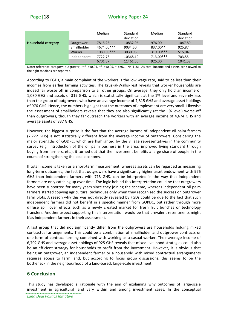|                           |             | Median     | Standard<br>deviation | Median      | Standard<br>deviation |
|---------------------------|-------------|------------|-----------------------|-------------|-----------------------|
| <b>Household category</b> | Outgrower   | 7815,25    | 10832,96              | 976,00      | 1047,89               |
|                           | Smallholder | 4674.00*** | 9034,50               | 837.00**    | 925,87                |
|                           | Worker      | 1080.00*** | 3030,96               | $319.00***$ | 515,04                |
|                           | Independent | 7722,78    | 10368,19              | $713.00***$ | 703,55                |
|                           |             | 6701,87    | 11461,55              | 925,00      | 1041,58               |

Note: reference category: outgrower, \*\*\*  $p$ <0.01, \*\*  $p$ <0.05, \*  $p$ <0.1, N= 1181. As total income and assets are skewed to the right medians are reported.

According to FGDs, a main complaint of the workers is the low wage rate, said to be less than their incomes from earlier farming activities. The Kruskal‐Wallis‐Test reveals that worker households are indeed far worse off in comparison to all other groups. On average, they only hold an income of 1,080 GHS and assets of 319 GHS, which is statistically significant at the 1% level and severely less than the group of outgrowers who have an average income of 7,815 GHS and average asset holdings of 976 GHS. Hence, the numbers highlight that the outcomes of employment are very small. Likewise, the assessment of smallholders reveals that they are also significantly (at the 1% level) worse-off than outgrowers, though they far outreach the workers with an average income of 4,674 GHS and average assets of 837 GHS.

However, the biggest surprise is the fact that the average income of independent oil palm farmers (7,722 GHS) is not statistically different from the average income of outgrowers. Considering the major strengths of GODPC, which are highlighted by the village representatives in the community survey (e.g. introduction of the oil palm business in the area, improved living standard through buying from farmers, etc.), it turned out that the investment benefits a large share of people in the course of strengthening the local economy.

If total income is taken as a short‐term measurement, whereas assets can be regarded as measuring long-term outcomes, the fact that outgrowers have a significantly higher asset endowment with 976 GHS than independent farmers with 713 GHS, can be interpreted in the way that independent farmers are only catching up over time. The logic behind this interpretation could be that outgrowers have been supported for many years since they joining the scheme, whereas independent oil palm farmers started copying agricultural techniques only when they recognised the success on outgrower farm plots. A reason why this was not directly revealed by FGDs could be due to the fact that such independent farmers did not benefit in a specific manner from GOPDC, but rather through more diffuse spill over effects such as a newly created market for fresh fruit bunches or technology transfers. Another aspect supporting this interpretation would be that prevalent resentments might bias independent farmers in their assessment.

A last group that did not significantly differ from the outgrowers are households holding mixed contractual arrangements. This could be a combination of smallholder and outgrower contracts or one form of contract farming combined with working as a casual worker. Their average income of 6,702 GHS and average asset holdings of 925 GHS reveals that mixed livelihood strategies could also be an efficient strategy for households to profit from the investment. However, it is obvious that being an outgrower, an independent farmer or a household with mixed contractual arrangements requires access to farm land, but according to focus group discussions, this seems to be the bottleneck in the neighbourhood of a land‐based, large‐scale investment.

## **6 Conclusion**

This study has developed a rationale with the aim of explaining why outcomes of large‐scale investment in agricultural land vary within and among investment cases. In the conceptual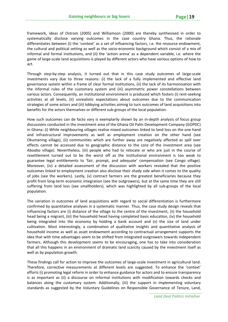framework, ideas of Ostrom (2005) and Williamson (2000) are thereby synthesised in order to systematically disclose varying outcomes in the case country Ghana. Thus, the rationale differentiates between (i) the 'context' as a set of influencing factors, i.e. the resource endowment, the cultural and political setting as well as the socio‐economic background which consist of a mix of informal and formal institutions, and (ii) the 'action arena' as a dependent variable, i.e. where the game of large‐scale land acquisitions is played by different actors who have various options of how to act.

Through step‐by‐step analysis, it turned out that in this case study outcomes of large‐scale investments vary due to three reasons: (i) the lack of a fully implemented and effective land governance system within a frame of clear formal institutions, (ii) the lack of its harmonisation with the informal rules of the customary system and (iii) asymmetric power constellations between various actors. Consequently, an institutional environment is produced which fosters (i) rent‐seeking activities at all levels, (ii) unrealistic expectations about outcomes due to the communication strategies of some actors and (iii) lobbying activities aiming to turn outcomes of land acquisitions into benefits for the actors themselves or different sub‐groups of the local population.

How such outcomes can de facto vary is exemplarily shown by an in-depth analysis of focus group discussions conducted in the investment area of the Ghana Oil Palm Development Company (GOPDC) in Ghana: (i) While neighbouring villages realise mixed outcomes linked to land loss on the one hand and infrastructural improvements as well as employment creation on the other hand (see Okumaning village), (ii) communities which are further away are negatively affected as spill over effects cannot be accessed due to geographic distance to the core of the investment area (see Aboabo village). Nevertheless, (iii) people who had to relocate or who are just in the course of resettlement turned out to be the worst off as the institutional environment is too weak to guarantee legal entitlements to 'fair, prompt, and adequate' compensation (see Congo village). Moreover, (iv) a detailed assessment of the discussion with workers revealed that the positive outcomes linked to employment creation also disclose their shady side when it comes to the quality of jobs (see the workers). Lastly, (v) contract farmers are the greatest beneficiaries because they profit from long‐term economic integration (see the outgrowers), but at the same time they are still suffering from land loss (see smallholders), which was highlighted by all sub-groups of the local population.

The variation in outcomes of land acquisitions with regard to social differentiation is furthermore confirmed by quantitative analyses in a systematic manner. Thus, the case study design reveals that influencing factors are (i) distance of the village to the centre of the investment, (ii) the household head being a migrant, (iii) the household head having completed basic education, (iv) the household being integrated into the economy by holding a bank account and (v) the size of land under cultivation. Most interestingly, a combination of qualitative insights and quantitative analysis of household income as well as asset endowment according to contractual arrangement supports the idea that with time advantages seem to be shifted from integrated outgrowers towards independent farmers. Although this development seems to be encouraging, one has to take into consideration that all this happens in an environment of dramatic land scarcity caused by the investment itself as well as by population growth.

These findings call for action to improve the outcomes of large‐scale investment in agricultural land. Therefore, corrective measurements at different levels are suggested. To enhance the 'context' efforts (i) promoting legal reform in order to enhance guidance for actors and to ensure transparency is as important as (ii) a discourse on informal institutions with modification towards checks and balances along the customary system. Additionally, (iii) the support in implementing voluntary standards as suggested by the Voluntary Guidelines on Responsible Governance of Tenure, Land,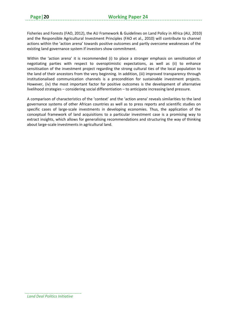Fisheries and Forests (FAO, 2012), the AU Framework & Guidelines on Land Policy in Africa (AU, 2010) and the Responsible Agricultural Investment Principles (FAO et al., 2010) will contribute to channel actions within the 'action arena' towards positive outcomes and partly overcome weaknesses of the existing land governance system if investors show commitment.

Within the 'action arena' it is recommended (i) to place a stronger emphasis on sensitisation of negotiating parties with respect to overoptimistic expectations, as well as (ii) to enhance sensitisation of the investment project regarding the strong cultural ties of the local population to the land of their ancestors from the very beginning. In addition, (iii) improved transparency through institutionalised communication channels is a precondition for sustainable investment projects. However, (iv) the most important factor for positive outcomes is the development of alternative livelihood strategies – considering social differentiation – to anticipate increasing land pressure.

A comparison of characteristics of the 'context' and the 'action arena' reveals similarities to the land governance systems of other African countries as well as to press reports and scientific studies on specific cases of large-scale investments in developing economies. Thus, the application of the conceptual framework of land acquisitions to a particular investment case is a promising way to extract insights, which allows for generalising recommendations and structuring the way of thinking about large‐scale investments in agricultural land.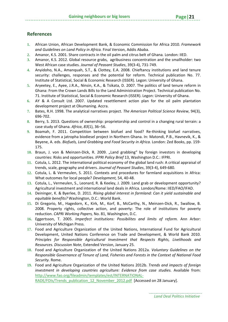## **References**

- **1.** African Union, African Development Bank, & Economic Commission for Africa 2010. *Framework and Guidelines on Land Policy in Africa.* Final Version, Addis Ababa.
- **2.** Amanor, K.S. 2001. Share contracts in the oil palm and citrus belt of Ghana*.* London: IIED.
- **3.** Amanor, K.S. 2012. Global resource grabs, agribusiness concentration and the smallholder: two West African case studies. *Journal of Peasant Studies*, 39(3‐4), 731‐749.
- **4.** Anyidoho, N.A., Amanquah, S.T., & Clottey, E.A. 2008. Chieftancy institutions and land tenure security: challenges, responses and the potential for reform. Technical publication No. 77. Institute of Statistical, Social & Economic Research (ISSER). Legon: University of Ghana.
- **5.** Aryeetey, E., Ayee, J.R.A., Ninsin, K.A., & Tsikata, D. 2007. The politics of land tenure reform in Ghana: From the Crown Lands Bills to the Land Administration Project. Technical publication No. 71. Institute of Statistical, Social & Economic Research (ISSER). Legon: University of Ghana.
- **6.** AY & A Consult Ltd. 2007. Updated resettlement action plan for the oil palm plantation development project at Okumaning. Accra.
- **7.** Bates, R.H. 1998. The analytical narratives project. *The American Political Science Review*, 94(3), 696‐702.
- **8.** Berry, S. 2013. Questions of ownership: proprietorship and control in a changing rural terrain: a case study of Ghana. *Africa*, *83*(1), 36–56.
- **9.** Boamah, F. 2011. Competition between biofuel and food? Re-thinking biofuel narratives, evidence from a jatropha biodiesel project in Northern Ghana. In: Matondi, P.B., Havnevik, K., & Beyene, A. eds. *Biofuels, Land Grabbing and Food Security in Africa.* London: Zed Books, pp. 159‐ 175.
- 10. Braun, J. von & Meinzen-Dick, R. 2009. "Land grabbing" by foreign investors in developing countries: Risks and opportunities. *IFPRI Policy Brief* 13, Washington D.C.: IFPRI.
- **11.** Cotula, L. 2012. The international political economy of the global land rush: A critical appraisal of trends, scale, geography and drivers. *Journal of Peasant Studies*, 39(3‐4), 649‐680.
- **12.** Cotula, L. & Vermeulen, S. 2011. Contexts and procedures for farmland acquisitions in Africa: What outcomes for local people? *Development,* 54, 40‐48.
- **13.** Cotula, L., Vermeulen, S., Leonard, R. & Keeley, J. 2009. Land grab or development opportunity? Agricultural investment and international land deals in Africa. London/Rome: IIED/FAO/IFAD.
- **14.** Deininger, K. & Byerlee, D. 2011. *Rising global interest in farmland: Can it yield sustainable and equitable benefits?* Washington, D.C.: World Bank.
- **15.** Di Gregorio, M., Hagedorn, K., Kirk, M., Korf, B., McCarthy, N., Meinzen‐Dick, R., Swallow, B. 2008. Property rights, collective action, and poverty: The role of institutions for poverty reduction. *CAPRi Working Papers,* No. 81, Washington, D.C.
- **16.** Eggertsson, T. 2005. *Imperfect institutions: Possibilites and limits of reform.* Ann Arbor: University of Michigan Press.
- **17.** Food and Agriculture Organization of the United Nations, International Fund for Agricultural Development, United Nations Conference on Trade and Development, & World Bank 2010. *Principles for Responsible Agricultural Investment that Respects Rights, Livelihoods and Resources. Discussion Note*, Extended Version, January 25.
- **18.** Food and Agriculture Organization of the United Nations 2012a. *Voluntary Guidelines on the Responsible Governance of Tenure of Land, Fisheries and Forests in the Context of National Food Security.* Rome.
- **19.** Food and Agriculture Organization of the United Nations 2012b. *Trends and impacts of foreign investment in developing countries agriculture: Evidence from case studies.* Available from: http://www.fao.org/fileadmin/templates/est/INTERNATIONAL‐

RADE/FDIs/Trends\_publication\_12\_November\_2012.pdf [Accessed on 28 January].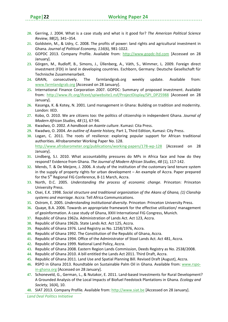- **20.** Gerring, J. 2004. What is a case study and what is it good for? *The American Political Science Review*, *98*(2), 341–354.
- **21.** Goldstein, M., & Udry, C. 2008. The profits of power: land rights and agricultural investment in Ghana. *Journal of Political Economy, 116*(6), 981‐1022.
- **22.** GOPDC 2013. Company Profile. Available from: http://www.gopdc‐ltd.com [Accessed on 28 January].
- **23.** Görgen, M., Rudloff, B., Simons, J., Üllenberg, A., Väth, S., Wimmer, L. 2009. Foreign direct investment (FDI) in land in developing countries. Eschborn, Germany: Deutsche Gesellschaft für Technische Zusammenarbeit.
- **24.** GRAIN, consecutively. The farmlandgrab.org weekly update. Available from: www.farmlandgrab.org [Accessed on 28 January].
- **25.** International Finance Corporation 2007. GOPDC: Summary of proposed investment. Available from: http://www.ifc.org/ifcext/spiwebsite1.nsf/ProjectDisplay/SPI\_DP25988 [Accessed on 28 January].
- **26.** Kasanga, K. & Kotey, N. 2001. Land management in Ghana: Building on tradition and modernity. London: IIED.
- **27.** Kobo, O. 2010. We are citizens too: the politics of citizenship in independent Ghana. *Journal of Modern African Studies, 48* (1), 67‐94.
- **28.** Kwadwo, O. 2002. *A handbook on Asante culture*. Kumasi: Cita Press.
- **29.** Kwadwo, O. 2004. *An outline of Asante history,* Part 1, Third Edition, Kumasi: City Press.
- **30.** Logan, C. 2011. The roots of resilience: exploring popular support for African traditional authorities. Afrobarometer Working Paper No. 128. http://www.afrobarometer.org/publications/working‐papers/178‐wp‐128 [Accessed on 28 January].
- **31.** Lindberg, S.I. 2010. What accountability pressures do MPs in Africa face and how do they respond? Evidence from Ghana. *The Journal of Modern African Studies*, *48* (1), 117‐142.
- **32.** Mends, T. & De Meijere, J. 2006. A study of the institution of the customary land tenure system in the supply of property rights for urban development – An example of Accra. Paper prepared for the 5<sup>th</sup> Regional FIG Conference, 8-11 March, Accra.
- **33.** North, D.C. 2005. *Understanding the process of economic change*. Princeton: Princeton University Press.
- **34.** Osei, E.K. 1998. *Social structure and traditional organization of the Akans of Ghana, (1) Clanship systems and marriage.* Accra: Tell Africa Communications.
- **35.** Ostrom, E. 2005. *Understanding institutional diversity.* Princeton: Princeton University Press.
- **36.** Quaye, B.A. 2006. Towards an appropriate framework for the effective utilization/ management of geoinformation. A case study of Ghana, XXIII International FIG Congress, Munich*.*
- **37.** Republic of Ghana 1962a. Administration of Lands Act. Act 123, Accra.
- **38.** Republic of Ghana 1962b. State Lands Act. Act 125, Accra.
- **39.** Republic of Ghana 1976. Land Registry as No. 1258/1976, Accra.
- **40.** Republic of Ghana 1992. The Constitution of the Republic of Ghana, Accra.
- **41.** Republic of Ghana 1994. Office of the Administrator of Stool Lands Act. Act 481, Accra.
- **42.** Republic of Ghana 1999. National Land Policy, Accra.
- **43.** Republic of Ghana 2008. Eastern Region Lands Commission, Deeds Registry as No. 2538/2008.
- **44.** Republic of Ghana 2010. A bill entitled the Lands Act 2011. Third Draft, Accra.
- **45.** Republic of Ghana 2011. Land Use and Spatial Planning Bill. Revised Draft (August), Accra.
- **46.** RSPO in Ghana 2013. Roundtable on Sustainable Palm Oil in Ghana. Available from: www.rspo‐ in‐ghana.org [Accessed on 28 January].
- **47.** Schoneveld, G., German, L., & Nutakor, E. 2011. Land‐based Investments for Rural Development? A Grounded Analysis of the Local Impacts of Biofuel Feedstock Plantations in Ghana. *Ecology and Society,* 16(4), 10.
- **48.** SIAT 2013. Company Profile*.* Available from: http://www.siat.be [Accessed on 28 January].

*Land Deal Politics Initiative*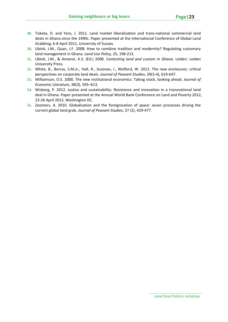- **49.** Tsikata, D. and Yaro, J. 2011. Land market liberalization and trans‐national commercial land deals in Ghana since the 1990s. Paper presented at the International Conference of Global Land Grabbing, 6‐8 April 2011, University of Sussex.
- **50.** Ubink, J.M., Quan, J.F. 2008. How to combine tradition and modernity? Regulating customary land management in Ghana. *Land Use Policy,* 25, 198‐213.
- **51.** Ubink, J.M., & Amanor, K.S. (Ed.) 2008. *Contesting land and custom in Ghana.* Leiden: Leiden University Press.
- **52.** White, B., Borras, S.M.Jr., Hall, R., Scoones, I., Wolford, W. 2012. The new enclosures: critical perspectives on corporate land deals. *Journal of Peasant Studies*, 39(3‐4), 619‐647.
- **53.** Williamson, O.E. 2000. The new institutional economics: Taking stock, looking ahead. *Journal of Economic Literature,* 38(3), 595–613*.*
- **54.** Wisborg, P. 2012. Justice and sustainability: Resistance and innovation in a transnational land deal in Ghana. Paper presented at the Annual World Bank Conference on Land and Poverty 2012, 23‐26 April 2012, Washington DC.
- **55.** Zoomers, A. 2010. Globalisation and the foreignisation of space: seven processes driving the current global land grab. *Journal of Peasant Studies,* 37 (2), 429‐477.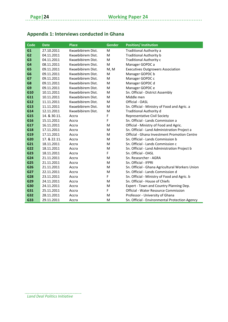| Code           | <b>Date</b>  | <b>Place</b>      | <b>Gender</b> | <b>Position/Institution</b>                     |
|----------------|--------------|-------------------|---------------|-------------------------------------------------|
| G1             | 27.10.2011   | Kwaebibirem Dist. | M             | <b>Traditional Authority a</b>                  |
| G <sub>2</sub> | 04.11.2011   | Kwaebibirem Dist. | M             | <b>Traditional Authority b</b>                  |
| G <sub>3</sub> | 04.11.2011   | Kwaebibirem Dist. | M             | Traditional Authority c                         |
| G4             | 08.11.2011   | Kwaebibirem Dist. | M             | Manager GOPDC a                                 |
| G5             | 09.11.2011   | Kwaebibirem Dist. | M, M          | <b>Executives Outgrowers Association</b>        |
| G <sub>6</sub> | 09.11.2011   | Kwaebibirem Dist. | M             | Manager GOPDC b                                 |
| G7             | 09.11.2011   | Kwaebibirem Dist. | M             | Manager GOPDC c                                 |
| G8             | 09.11.2011   | Kwaebibirem Dist. | M             | Manager GOPDC d                                 |
| G9             | 09.11.2011   | Kwaebibirem Dist. | M             | Manager GOPDC e                                 |
| G10            | 10.11.2011   | Kwaebibirem Dist. | M             | Sn. Official - District Assembly                |
| G11            | 10.11.2011   | Kwaebibirem Dist. | M             | Middle men                                      |
| G12            | 11.11.2011   | Kwaebibirem Dist. | M             | Official - OASL                                 |
| G13            | 11.11.2011   | Kwaebibirem Dist. | M             | Sn. Official - Ministry of Food and Agric. a    |
| G14            | 12.11.2011   | Kwaebibirem Dist. | M             | <b>Traditional Authority d</b>                  |
| G15            | 14. & 30.11. | Accra             | F             | <b>Representative Civil Society</b>             |
| G16            | 15.11.2011   | Accra             | F             | Sn. Official - Lands Commission a               |
| G17            | 16.11.2011   | Accra             | M             | Official - Ministry of Food and Agric.          |
| G18            | 17.11.2011   | Accra             | M             | Sn. Official - Land Administration Project a    |
| G19            | 17.11.2011   | Accra             | M             | Official - Ghana Investment Promotion Centre    |
| G20            | 17. & 22.11. | Accra             | M             | Sn. Official - Lands Commission b               |
| G21            | 18.11.2011   | Accra             | M             | Sn. Official - Lands Commission c               |
| G22            | 18.11.2011   | Accra             | M             | Sn. Official - Land Administration Project b    |
| G23            | 18.11.2011   | Accra             | F             | Sn. Official - OASL                             |
| G24            | 21.11.2011   | Accra             | M             | Sn. Researcher - AGRA                           |
| G25            | 21.11.2011   | Accra             | M             | Sn. Official - IFPRI                            |
| G26            | 21.11.2011   | Accra             | M             | Sn. Official - Ghana Agricultural Workers Union |
| G27            | 22.11.2011   | Accra             | M             | Sn. Official - Lands Commission d               |
| G28            | 23.11.2011   | Accra             | F             | Sn. Official - Ministry of Food and Agric. b    |
| G29            | 24.11.2011   | Accra             | M             | Sn. Official - House of Chiefs                  |
| G30            | 24.11.2011   | Accra             | M             | Expert - Town and Country Planning Dep.         |
| G31            | 25.11.2011   | Accra             | F             | Official - Water Resource Commission            |
| G32            | 28.11.2011   | Accra             | M             | Professor - University of Ghana                 |
| G33            | 29.11.2011   | Accra             | M             | Sn. Official - Environmental Protection Agency  |

# **Appendix 1: Interviews conducted in Ghana**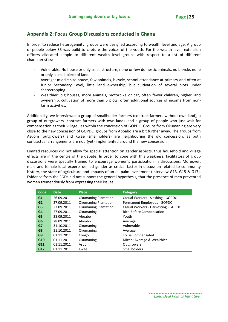## **Appendix 2: Focus Group Discussions conducted in Ghana**

In order to reduce heterogeneity, groups were designed according to wealth level and age. A group of people below 35 was build to capture the voices of the youth. For the wealth level, extension officers allocated people to different wealth level groups with respect to a list of different characteristics:

- ‐ Vulnerable: No house or only small structure, none or few domestic animals, no bicycle, none or only a small piece of land.
- ‐ Average: middle size house, few animals, bicycle, school attendance at primary and often at Junior Secondary Level, little land ownership, but cultivation of several plots under sharecropping.
- ‐ Wealthier: big houses, more animals, motorbike or car, often fewer children, higher land ownership, cultivation of more than 5 plots, often additional sources of income from non‐ farm activities.

Additionally, we interviewed a group of smallholder farmers (contract farmers without own land), a group of outgrowers (contract farmers with own land), and a group of people who just wait for compensation as their village lies within the concession of GOPDC. Groups from Okumaning are very close to the new concession of GOPDC, groups from Aboabo are a bit further away. The groups from Asuom (outgrowers) and Kwae (smallholders) are neighbouring the old concession, as both contractual arrangements are not (yet) implemented around the new concession.

Limited resources did not allow for special attention on gender aspects, thus household and village effects are in the centre of the debate. In order to cope with this weakness, facilitators of group discussions were specially trained to encourage women's participation in discussions. Moreover, male and female local experts denied gender as critical factor in discussion related to community history, the state of agriculture and impacts of an oil palm investment (Interview G13, G15 & G17). Evidence from the FGDs did not support the general hypothesis, that the presence of men prevented women tremendously from expressing their issues.

| Code            | <b>Date</b> | <b>Place</b>                | <b>Category</b>                     |
|-----------------|-------------|-----------------------------|-------------------------------------|
| G1              | 26.09.2011  | <b>Okumaning Plantation</b> | Casual Workers - Slashing - GOPDC   |
| G2              | 27.09.2011  | <b>Okumaning Plantation</b> | Permanent Employees - GOPDC         |
| G <sub>3</sub>  | 27.09.2011  | <b>Okumaning Plantation</b> | Casual Workers - Harvesting - GOPDC |
| G4              | 27.09.2011  | Okumaning                   | Rich Before Compensation            |
| G5              | 28.09.2011  | Aboabo                      | Youth                               |
| G <sub>6</sub>  | 28.09.2011  | Aboabo                      | Average                             |
| G7              | 31.10.2011  | Okumaning                   | Vulnerable                          |
| G8              | 31.10.2011  | Okumaning                   | Average                             |
| G <sub>9</sub>  | 01.11.2011  | Congo                       | To Be Compensated                   |
| G <sub>10</sub> | 01.11.2011  | Okumaning                   | Mixed: Average & Wealthier          |
| G11             | 01.11.2011  | Asuom                       | Outgrowers                          |
| G12             | 01.11.2011  | Kwae                        | <b>Smallholders</b>                 |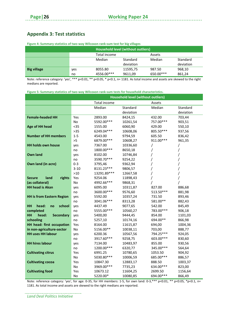## **Appendix 3: Test statistics**

|                    |     | Household level (without outliers) |           |           |           |  |  |
|--------------------|-----|------------------------------------|-----------|-----------|-----------|--|--|
|                    |     | Total income                       |           | Assets    |           |  |  |
|                    |     | Median                             | Standard  | Median    | Standard  |  |  |
|                    |     |                                    | deviation |           | deviation |  |  |
| <b>Big village</b> | yes | 8055.80                            | 11595,75  | 987.50    | 968,10    |  |  |
|                    | no  | 4556.00***                         | 9611,09   | 650.00*** | 861,24    |  |  |

**Figure 4: Summary statistics of two‐way Wilcoxon rank‐sum test for big villages**

Note: reference category: 'yes', \*\*\* p<0.01, \*\* p<0.05, \* p<0.1, n= 1181. As total income and assets are skewed to the right medians are reported.

**Figure 5: Summary statistics of two‐way Wilcoxon rank‐sum tests for household characteristics.**

|                                        | <b>Household level (without outliers)</b> |              |           |           |           |
|----------------------------------------|-------------------------------------------|--------------|-----------|-----------|-----------|
|                                        |                                           | Total income |           | Assets    |           |
|                                        |                                           | Median       | Standard  | Median    | Standard  |
|                                        |                                           |              | deviation |           | deviation |
| <b>Female-headed HH</b>                | Yes                                       | 2893.00      | 8424,15   | 432.00    | 703,44    |
|                                        | No                                        | 5592.00***   | 10261,54  | 757.00*** | 903,51    |
| <b>Age of HH head</b>                  | $35$                                      | 1555.00      | 6060,90   | 429.00    | 550,10    |
|                                        | $>35$                                     | 6249.04***   | 10608,06  | 805.50*** | 937,56    |
| <b>Number of HH members</b>            | $1 - 5$                                   | 4543.00      | 9794,59   | 605.50    | 836,42    |
|                                        | >5                                        | 6879.00***   | 10608,27  | 911.00*** | 961,35    |
| <b>HH holds own house</b>              | yes                                       | 7367.00      | 10336,60  | 7         | T         |
|                                        | no                                        | 1800.00***   | 8650,18   | 7         | /         |
| <b>Own land</b>                        | yes                                       | 8102.00      | 10746,84  | 7         | /         |
|                                        | no                                        | 3590.70***   | 9254,22   |           | Τ         |
| Own land (in acre)                     | $0 - 3$                                   | 3795,46      | 9362,94   |           |           |
|                                        | $3 - 10$                                  | 8131.23***   | 9806,57   |           |           |
|                                        | $>10$                                     | 13291.89***  | 12667,58  |           |           |
| rights<br><b>Secure</b><br>land        | Yes                                       | 9254.06      | 11898,43  |           |           |
| (as collateral)                        | No                                        | 4992.66***   | 9868,31   |           |           |
| <b>HH head is Akan</b>                 | yes                                       | 6095.00      | 10311,87  | 827.00    | 886,68    |
|                                        | no                                        | 3600.00***   | 9576,60   | 513.50*** | 881,98    |
| <b>HH is from Eastern Region</b>       | yes                                       | 5592.00      | 10357,24  | 731.50    | 893,46    |
|                                        | no                                        | 3041.06***   | 8313,28   | 581.00**  | 882,43    |
| HH<br>head:<br>school<br>no            | yes                                       | 4437.49      | 9077,65   | 542.00    | 845,49    |
| completed                              | no                                        | 5555.00***   | 10560,27  | 783.00*** | 906,18    |
| <b>HH</b><br><b>Secondary</b><br>head: | yes                                       | 5400,00      | 9444,45   | 854.00    | 1101,03   |
| schooling                              | no                                        | 5257,10      | 10174,16  | 694.00**  | 866,98    |
| HH head: first occupation              | Yes                                       | 8164.00      | 11615,87  | 694,00    | 1004,36   |
| in non-agriculture-sector              | No                                        | 5156.00**    | 10038,11  | 703,00    | 888,77    |
| <b>HH uses HH labour</b>               | yes                                       | 6200.36      | 10567,56  | 794.25*** | 924,05    |
|                                        | no                                        | 3917.60***   | 9258,75   | 603.00*** | 830,60    |
| <b>HH hires labour</b>                 | yes                                       | 7134.00      | 10483,97  | 855.00    | 930,56    |
|                                        | no                                        | 1200.00***   | 6320,77   | 345.00*** | 564,64    |
| <b>Cultivating citrus</b>              | Yes                                       | 6991.25      | 10780,65  | 1053.50   | 904,92    |
|                                        | No                                        | 5030.80***   | 10006,59  | 685.00*** | 886,57    |
| <b>Cultivating cocoa</b>               | Yes                                       | 10847.30     | 12883,17  | 888.50    | 1003,37   |
|                                        | No                                        | 3969.00***   | 7735,23   | 634.00*** | 823,00    |
| <b>Cultivating food</b>                | Yes                                       | 10673.12     | 11604,25  | 2699.50   | 1156,64   |
|                                        | No                                        | 5220.00*     | 10080,85  | 694.00*** | 866,49    |

Note: reference category: 'yes', for age: 0-35, for HH members: 1-5, for own land: 0-3, \*\*\* p<0.01, \*\* p<0.05, \*p<0.1, n= 1181. As total income and assets are skewed to the right medians are reported.